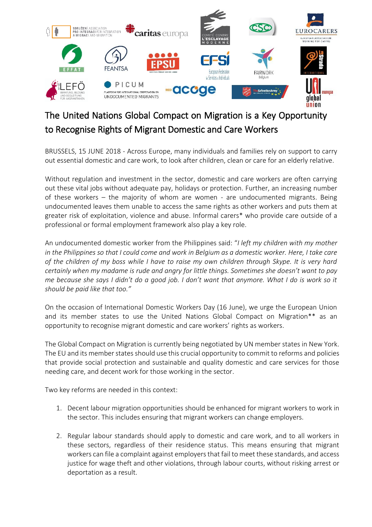

## The United Nations Global Compact on Migration is a Key Opportunity to Recognise Rights of Migrant Domestic and Care Workers

BRUSSELS, 15 JUNE 2018 - Across Europe, many individuals and families rely on support to carry out essential domestic and care work, to look after children, clean or care for an elderly relative.

Without regulation and investment in the sector, domestic and care workers are often carrying out these vital jobs without adequate pay, holidays or protection. Further, an increasing number of these workers – the majority of whom are women - are undocumented migrants. Being undocumented leaves them unable to access the same rights as other workers and puts them at greater risk of exploitation, violence and abuse. Informal carers\* who provide care outside of a professional or formal employment framework also play a key role.

An undocumented domestic worker from the Philippines said: "*I left my children with my mother in the Philippines so that I could come and work in Belgium as a domestic worker. Here, I take care of the children of my boss while I have to raise my own children through Skype. It is very hard certainly when my madame is rude and angry for little things. Sometimes she doesn't want to pay me because she says I didn't do a good job. I don't want that anymore. What I do is work so it should be paid like that too."*

On the occasion of International Domestic Workers Day (16 June), we urge the European Union and its member states to use the United Nations Global Compact on Migration\*\* as an opportunity to recognise migrant domestic and care workers' rights as workers.

The Global Compact on Migration is currently being negotiated by UN member states in New York. The EU and its member states should use this crucial opportunity to commit to reforms and policies that provide social protection and sustainable and quality domestic and care services for those needing care, and decent work for those working in the sector.

Two key reforms are needed in this context:

- 1. Decent labour migration opportunities should be enhanced for migrant workers to work in the sector. This includes ensuring that migrant workers can change employers.
- 2. Regular labour standards should apply to domestic and care work, and to all workers in these sectors, regardless of their residence status. This means ensuring that migrant workers can file a complaint against employers that fail to meet these standards, and access justice for wage theft and other violations, through labour courts, without risking arrest or deportation as a result.